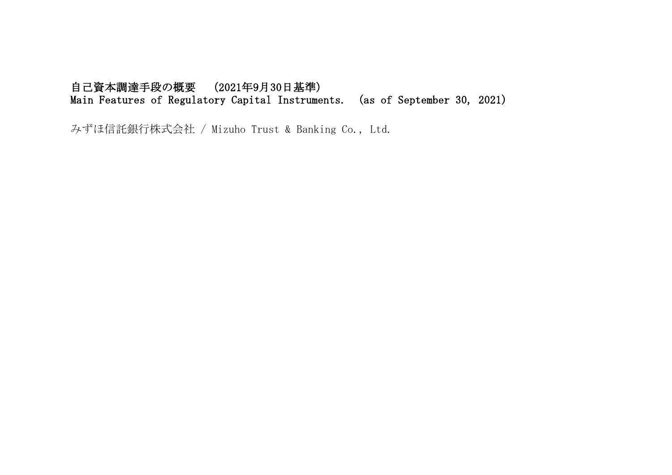## 自己資本調達手段の概要 (2021年9月30日基準) Main Features of Regulatory Capital Instruments. (as of September 30, 2021)

みずほ信託銀行株式会社 / Mizuho Trust & Banking Co., Ltd.